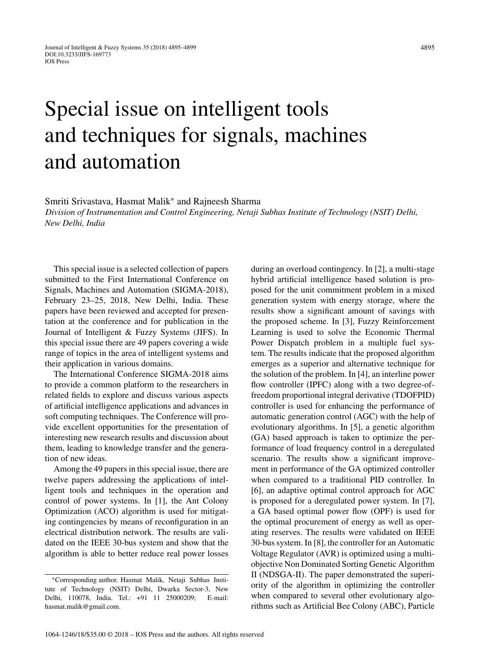## Special issue on intelligent tools and techniques for signals, machines and automation

Smriti Srivastava, Hasmat Malik<sup>∗</sup> and Rajneesh Sharma

*Division of Instrumentation and Control Engineering, Netaji Subhas Institute of Technology (NSIT) Delhi, New Delhi, India*

This special issue is a selected collection of papers submitted to the First International Conference on Signals, Machines and Automation (SIGMA-2018), February 23–25, 2018, New Delhi, India. These papers have been reviewed and accepted for presentation at the conference and for publication in the Journal of Intelligent & Fuzzy Systems (JIFS). In this special issue there are 49 papers covering a wide range of topics in the area of intelligent systems and their application in various domains.

The International Conference SIGMA-2018 aims to provide a common platform to the researchers in related fields to explore and discuss various aspects of artificial intelligence applications and advances in soft computing techniques. The Conference will provide excellent opportunities for the presentation of interesting new research results and discussion about them, leading to knowledge transfer and the generation of new ideas.

Among the 49 papers in this special issue, there are twelve papers addressing the applications of intelligent tools and techniques in the operation and control of power systems. In [1], the Ant Colony Optimization (ACO) algorithm is used for mitigating contingencies by means of reconfiguration in an electrical distribution network. The results are validated on the IEEE 30-bus system and show that the algorithm is able to better reduce real power losses during an overload contingency. In [2], a multi-stage hybrid artificial intelligence based solution is proposed for the unit commitment problem in a mixed generation system with energy storage, where the results show a significant amount of savings with the proposed scheme. In [3], Fuzzy Reinforcement Learning is used to solve the Economic Thermal Power Dispatch problem in a multiple fuel system. The results indicate that the proposed algorithm emerges as a superior and alternative technique for the solution of the problem. In [4], an interline power flow controller (IPFC) along with a two degree-offreedom proportional integral derivative (TDOFPID) controller is used for enhancing the performance of automatic generation control (AGC) with the help of evolutionary algorithms. In [5], a genetic algorithm (GA) based approach is taken to optimize the performance of load frequency control in a deregulated scenario. The results show a significant improvement in performance of the GA optimized controller when compared to a traditional PID controller. In [6], an adaptive optimal control approach for AGC is proposed for a deregulated power system. In [7], a GA based optimal power flow (OPF) is used for the optimal procurement of energy as well as operating reserves. The results were validated on IEEE 30-bus system. In [8], the controller for an Automatic Voltage Regulator (AVR) is optimized using a multiobjective Non Dominated Sorting Genetic Algorithm II (NDSGA-II). The paper demonstrated the superiority of the algorithm in optimizing the controller when compared to several other evolutionary algorithms such as Artificial Bee Colony (ABC), Particle

<sup>∗</sup>Corresponding author. Hasmat Malik, Netaji Subhas Institute of Technology (NSIT) Delhi, Dwarka Sector-3, New Delhi, 110078, India. Tel.: +91 11 25000209; E-mail: [hasmat.malik@gmail.com.](mailto:hasmat.malik@gmail.com)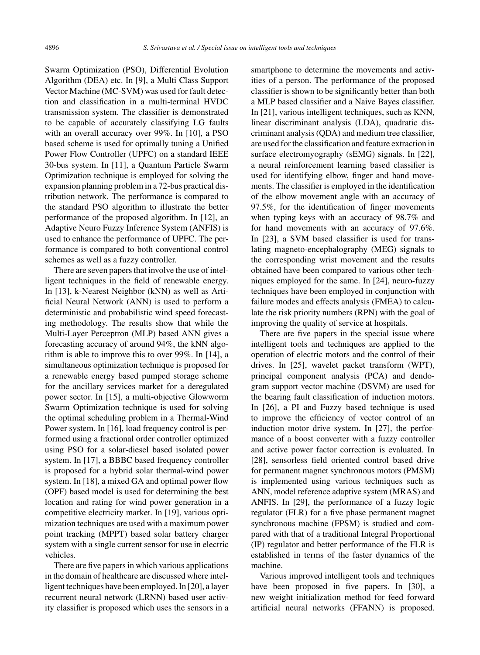Swarm Optimization (PSO), Differential Evolution Algorithm (DEA) etc. In [9], a Multi Class Support Vector Machine (MC-SVM) was used for fault detection and classification in a multi-terminal HVDC transmission system. The classifier is demonstrated to be capable of accurately classifying LG faults with an overall accuracy over 99%. In [10], a PSO based scheme is used for optimally tuning a Unified Power Flow Controller (UPFC) on a standard IEEE 30-bus system. In [11], a Quantum Particle Swarm Optimization technique is employed for solving the expansion planning problem in a 72-bus practical distribution network. The performance is compared to the standard PSO algorithm to illustrate the better performance of the proposed algorithm. In [12], an Adaptive Neuro Fuzzy Inference System (ANFIS) is used to enhance the performance of UPFC. The performance is compared to both conventional control schemes as well as a fuzzy controller.

There are seven papers that involve the use of intelligent techniques in the field of renewable energy. In [13], k-Nearest Neighbor (kNN) as well as Artificial Neural Network (ANN) is used to perform a deterministic and probabilistic wind speed forecasting methodology. The results show that while the Multi-Layer Perceptron (MLP) based ANN gives a forecasting accuracy of around 94%, the kNN algorithm is able to improve this to over 99%. In [14], a simultaneous optimization technique is proposed for a renewable energy based pumped storage scheme for the ancillary services market for a deregulated power sector. In [15], a multi-objective Glowworm Swarm Optimization technique is used for solving the optimal scheduling problem in a Thermal-Wind Power system. In [16], load frequency control is performed using a fractional order controller optimized using PSO for a solar-diesel based isolated power system. In [17], a BBBC based frequency controller is proposed for a hybrid solar thermal-wind power system. In [18], a mixed GA and optimal power flow (OPF) based model is used for determining the best location and rating for wind power generation in a competitive electricity market. In [19], various optimization techniques are used with a maximum power point tracking (MPPT) based solar battery charger system with a single current sensor for use in electric vehicles.

There are five papers in which various applications in the domain of healthcare are discussed where intelligent techniques have been employed. In [20], a layer recurrent neural network (LRNN) based user activity classifier is proposed which uses the sensors in a smartphone to determine the movements and activities of a person. The performance of the proposed classifier is shown to be significantly better than both a MLP based classifier and a Naive Bayes classifier. In [21], various intelligent techniques, such as KNN, linear discriminant analysis (LDA), quadratic discriminant analysis (QDA) and medium tree classifier, are used for the classification and feature extraction in surface electromyography (sEMG) signals. In [22], a neural reinforcement learning based classifier is used for identifying elbow, finger and hand movements. The classifier is employed in the identification of the elbow movement angle with an accuracy of 97.5%, for the identification of finger movements when typing keys with an accuracy of 98.7% and for hand movements with an accuracy of 97.6%. In [23], a SVM based classifier is used for translating magneto-encephalography (MEG) signals to the corresponding wrist movement and the results obtained have been compared to various other techniques employed for the same. In [24], neuro-fuzzy techniques have been employed in conjunction with failure modes and effects analysis (FMEA) to calculate the risk priority numbers (RPN) with the goal of improving the quality of service at hospitals.

There are five papers in the special issue where intelligent tools and techniques are applied to the operation of electric motors and the control of their drives. In [25], wavelet packet transform (WPT), principal component analysis (PCA) and dendogram support vector machine (DSVM) are used for the bearing fault classification of induction motors. In [26], a PI and Fuzzy based technique is used to improve the efficiency of vector control of an induction motor drive system. In [27], the performance of a boost converter with a fuzzy controller and active power factor correction is evaluated. In [28], sensorless field oriented control based drive for permanent magnet synchronous motors (PMSM) is implemented using various techniques such as ANN, model reference adaptive system (MRAS) and ANFIS. In [29], the performance of a fuzzy logic regulator (FLR) for a five phase permanent magnet synchronous machine (FPSM) is studied and compared with that of a traditional Integral Proportional (IP) regulator and better performance of the FLR is established in terms of the faster dynamics of the machine.

Various improved intelligent tools and techniques have been proposed in five papers. In [30], a new weight initialization method for feed forward artificial neural networks (FFANN) is proposed.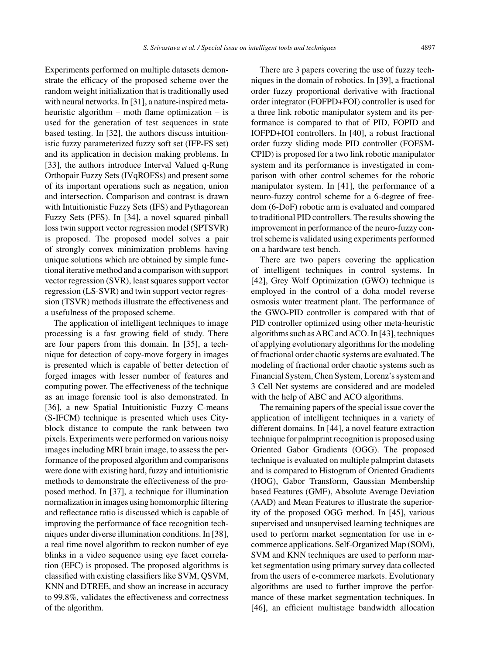Experiments performed on multiple datasets demonstrate the efficacy of the proposed scheme over the random weight initialization that is traditionally used with neural networks. In [31], a nature-inspired metaheuristic algorithm – moth flame optimization – is used for the generation of test sequences in state based testing. In [32], the authors discuss intuitionistic fuzzy parameterized fuzzy soft set (IFP-FS set) and its application in decision making problems. In [33], the authors introduce Interval Valued q-Rung Orthopair Fuzzy Sets (IVqROFSs) and present some of its important operations such as negation, union and intersection. Comparison and contrast is drawn with Intuitionistic Fuzzy Sets (IFS) and Pythagorean Fuzzy Sets (PFS). In [34], a novel squared pinball loss twin support vector regression model (SPTSVR) is proposed. The proposed model solves a pair of strongly convex minimization problems having unique solutions which are obtained by simple functional iterative method and a comparison with support vector regression (SVR), least squares support vector regression (LS-SVR) and twin support vector regression (TSVR) methods illustrate the effectiveness and a usefulness of the proposed scheme.

The application of intelligent techniques to image processing is a fast growing field of study. There are four papers from this domain. In [35], a technique for detection of copy-move forgery in images is presented which is capable of better detection of forged images with lesser number of features and computing power. The effectiveness of the technique as an image forensic tool is also demonstrated. In [36], a new Spatial Intuitionistic Fuzzy C-means (S-IFCM) technique is presented which uses Cityblock distance to compute the rank between two pixels. Experiments were performed on various noisy images including MRI brain image, to assess the performance of the proposed algorithm and comparisons were done with existing hard, fuzzy and intuitionistic methods to demonstrate the effectiveness of the proposed method. In [37], a technique for illumination normalization in images using homomorphic filtering and reflectance ratio is discussed which is capable of improving the performance of face recognition techniques under diverse illumination conditions. In [38], a real time novel algorithm to reckon number of eye blinks in a video sequence using eye facet correlation (EFC) is proposed. The proposed algorithms is classified with existing classifiers like SVM, QSVM, KNN and DTREE, and show an increase in accuracy to 99.8%, validates the effectiveness and correctness of the algorithm.

There are 3 papers covering the use of fuzzy techniques in the domain of robotics. In [39], a fractional order fuzzy proportional derivative with fractional order integrator (FOFPD+FOI) controller is used for a three link robotic manipulator system and its performance is compared to that of PID, FOPID and IOFPD+IOI controllers. In [40], a robust fractional order fuzzy sliding mode PID controller (FOFSM-CPID) is proposed for a two link robotic manipulator system and its performance is investigated in comparison with other control schemes for the robotic manipulator system. In [41], the performance of a neuro-fuzzy control scheme for a 6-degree of freedom (6-DoF) robotic arm is evaluated and compared to traditional PID controllers. The results showing the improvement in performance of the neuro-fuzzy control scheme is validated using experiments performed on a hardware test bench.

There are two papers covering the application of intelligent techniques in control systems. In [42], Grey Wolf Optimization (GWO) technique is employed in the control of a doha model reverse osmosis water treatment plant. The performance of the GWO-PID controller is compared with that of PID controller optimized using other meta-heuristic algorithms such as ABC and ACO. In [43], techniques of applying evolutionary algorithms for the modeling of fractional order chaotic systems are evaluated. The modeling of fractional order chaotic systems such as Financial System, Chen System, Lorenz's system and 3 Cell Net systems are considered and are modeled with the help of ABC and ACO algorithms.

The remaining papers of the special issue cover the application of intelligent techniques in a variety of different domains. In [44], a novel feature extraction technique for palmprint recognition is proposed using Oriented Gabor Gradients (OGG). The proposed technique is evaluated on multiple palmprint datasets and is compared to Histogram of Oriented Gradients (HOG), Gabor Transform, Gaussian Membership based Features (GMF), Absolute Average Deviation (AAD) and Mean Features to illustrate the superiority of the proposed OGG method. In [45], various supervised and unsupervised learning techniques are used to perform market segmentation for use in ecommerce applications. Self-Organized Map (SOM), SVM and KNN techniques are used to perform market segmentation using primary survey data collected from the users of e-commerce markets. Evolutionary algorithms are used to further improve the performance of these market segmentation techniques. In [46], an efficient multistage bandwidth allocation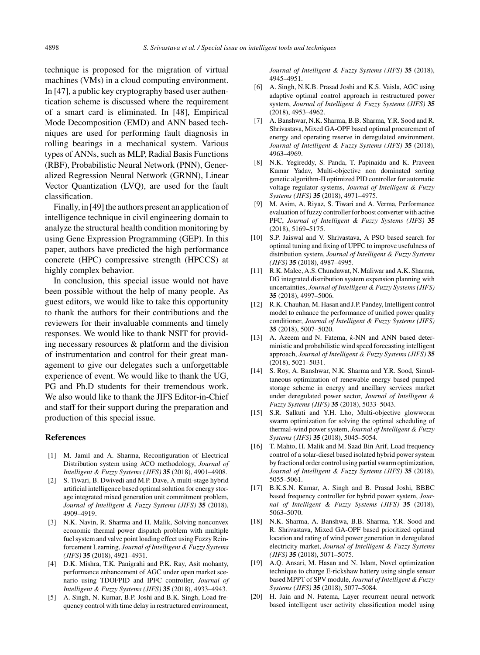technique is proposed for the migration of virtual machines (VMs) in a cloud computing environment. In [47], a public key cryptography based user authentication scheme is discussed where the requirement of a smart card is eliminated. In [48], Empirical Mode Decomposition (EMD) and ANN based techniques are used for performing fault diagnosis in rolling bearings in a mechanical system. Various types of ANNs, such as MLP, Radial Basis Functions (RBF), Probabilistic Neural Network (PNN), Generalized Regression Neural Network (GRNN), Linear Vector Quantization (LVQ), are used for the fault classification.

Finally, in [49] the authors present an application of intelligence technique in civil engineering domain to analyze the structural health condition monitoring by using Gene Expression Programming (GEP). In this paper, authors have predicted the high performance concrete (HPC) compressive strength (HPCCS) at highly complex behavior.

In conclusion, this special issue would not have been possible without the help of many people. As guest editors, we would like to take this opportunity to thank the authors for their contributions and the reviewers for their invaluable comments and timely responses. We would like to thank NSIT for providing necessary resources & platform and the division of instrumentation and control for their great management to give our delegates such a unforgettable experience of event. We would like to thank the UG, PG and Ph.D students for their tremendous work. We also would like to thank the JIFS Editor-in-Chief and staff for their support during the preparation and production of this special issue.

## **References**

- [1] M. Jamil and A. Sharma, Reconfiguration of Electrical Distribution system using ACO methodology, *Journal of Intelligent & Fuzzy Systems (JIFS)* **35** (2018), 4901–4908.
- [2] S. Tiwari, B. Dwivedi and M.P. Dave, A multi-stage hybrid artificial intelligence based optimal solution for energy storage integrated mixed generation unit commitment problem, *Journal of Intelligent & Fuzzy Systems (JIFS)* **35** (2018), 4909–4919.
- [3] N.K. Navin, R. Sharma and H. Malik, Solving nonconvex economic thermal power dispatch problem with multiple fuel system and valve point loading effect using Fuzzy Reinforcement Learning, *Journal of Intelligent & Fuzzy Systems (JIFS)* **35** (2018), 4921–4931.
- [4] D.K. Mishra, T.K. Panigrahi and P.K. Ray, Asit mohanty, performance enhancement of AGC under open market scenario using TDOFPID and IPFC controller, *Journal of Intelligent & Fuzzy Systems (JIFS)* **35** (2018), 4933–4943.
- [5] A. Singh, N. Kumar, B.P. Joshi and B.K. Singh, Load frequency control with time delay in restructured environment,

*Journal of Intelligent & Fuzzy Systems (JIFS)* **35** (2018), 4945–4951.

- [6] A. Singh, N.K.B. Prasad Joshi and K.S. Vaisla, AGC using adaptive optimal control approach in restructured power system, *Journal of Intelligent & Fuzzy Systems (JIFS)* **35** (2018), 4953–4962.
- [7] A. Banshwar, N.K. Sharma, B.B. Sharma, Y.R. Sood and R. Shrivastava, Mixed GA-OPF based optimal procurement of energy and operating reserve in deregulated environment, *Journal of Intelligent & Fuzzy Systems (JIFS)* **35** (2018), 4963–4969.
- [8] N.K. Yegireddy, S. Panda, T. Papinaidu and K. Praveen Kumar Yadav, Multi-objective non dominated sorting genetic algorithm-II optimized PID controller for automatic voltage regulator systems, *Journal of Intelligent & Fuzzy Systems (JIFS)* **35** (2018), 4971–4975.
- [9] M. Asim, A. Riyaz, S. Tiwari and A. Verma, Performance evaluation of fuzzy controller for boost converter with active PFC, *Journal of Intelligent & Fuzzy Systems (JIFS)* **35** (2018), 5169–5175.
- [10] S.P. Jaiswal and V. Shrivastava, A PSO based search for optimal tuning and fixing of UPFC to improve usefulness of distribution system, *Journal of Intelligent & Fuzzy Systems (JIFS)* **35** (2018), 4987–4995.
- [11] R.K. Malee, A.S. Chundawat, N. Maliwar and A.K. Sharma, DG integrated distribution system expansion planning with uncertainties, *Journal of Intelligent & Fuzzy Systems (JIFS)* **35** (2018), 4997–5006.
- [12] R.K. Chauhan, M. Hasan and J.P. Pandey, Intelligent control model to enhance the performance of unified power quality conditioner, *Journal of Intelligent & Fuzzy Systems (JIFS)* **35** (2018), 5007–5020.
- [13] A. Azeem and N. Fatema, *k*-NN and ANN based deterministic and probabilistic wind speed forecasting intelligent approach, *Journal of Intelligent & Fuzzy Systems (JIFS)* **35** (2018), 5021–5031.
- [14] S. Roy, A. Banshwar, N.K. Sharma and Y.R. Sood, Simultaneous optimization of renewable energy based pumped storage scheme in energy and ancillary services market under deregulated power sector, *Journal of Intelligent & Fuzzy Systems (JIFS)* **35** (2018), 5033–5043.
- [15] S.R. Salkuti and Y.H. Lho, Multi-objective glowworm swarm optimization for solving the optimal scheduling of thermal-wind power system, *Journal of Intelligent & Fuzzy Systems (JIFS)* **35** (2018), 5045–5054.
- [16] T. Mahto, H. Malik and M. Saad Bin Arif, Load frequency control of a solar-diesel based isolated hybrid power system by fractional order control using partial swarm optimization, *Journal of Intelligent & Fuzzy Systems (JIFS)* **35** (2018), 5055–5061.
- [17] B.K.S.N. Kumar, A. Singh and B. Prasad Joshi, BBBC based frequency controller for hybrid power system, *Journal of Intelligent & Fuzzy Systems (JIFS)* **35** (2018), 5063–5070.
- [18] N.K. Sharma, A. Banshwa, B.B. Sharma, Y.R. Sood and R. Shrivastava, Mixed GA-OPF based prioritized optimal location and rating of wind power generation in deregulated electricity market, *Journal of Intelligent & Fuzzy Systems (JIFS)* **35** (2018), 5071–5075.
- [19] A.Q. Ansari, M. Hasan and N. Islam, Novel optimization technique to charge E-rickshaw battery using single sensor based MPPT of SPV module, *Journal of Intelligent & Fuzzy Systems (JIFS)* **35** (2018), 5077–5084.
- [20] H. Jain and N. Fatema, Layer recurrent neural network based intelligent user activity classification model using